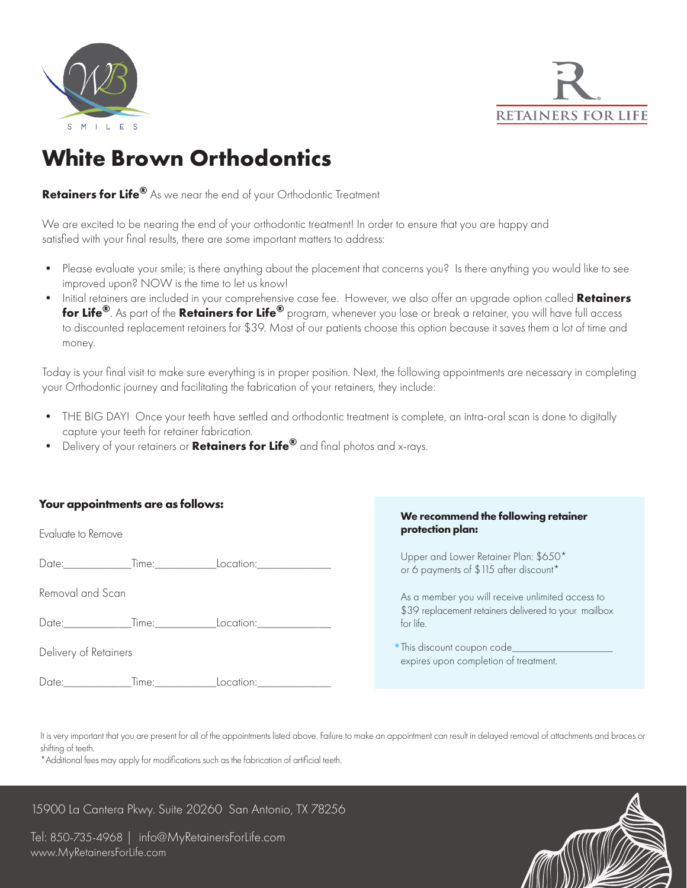



# **White Brown Orthodontics**

**Retainers for Life®** As we near the end of your Orthodontic Treatment

We are excited to be nearing the end of your orthodontic treatment! In order to ensure that you are happy and satisfied with your final results, there are some important matters to address:

- Please evaluate your smile; is there anything about the placement that concerns you? Is there anything you would like to see improved upon? NOW is the time to let us know!
- Initial retainers are included in your comprehensive case fee. However, we also offer an upgrade option called **Retainers for Life®**. As part of the **Retainers for Life®** program, whenever you lose or break a retainer, you will have full access to discounted replacement retainers for \$39. Most of our patients choose this option because it saves them a lot of time and money.

Today is your final visit to make sure everything is in proper position. Next, the following appointments are necessary in completing your Orthodontic journey and facilitating the fabrication of your retainers, they include:

- THE BIG DAY! Once your teeth have settled and orthodontic treatment is complete, an intra-oral scan is done to digitally capture your teeth for retainer fabrication.
- Delivery of your retainers or **Retainers for Life®** and final photos and x-rays.

### **Your appointments are as follows:**

| Evaluate to Remove                      | We recommend the following retainer<br>protection plan:                         |
|-----------------------------------------|---------------------------------------------------------------------------------|
| Time:<br>Date: <b>Date</b><br>Location: | Upper and Lower Retainer Plan: \$650*<br>or 6 payments of \$115 after discount* |
| Removal and Scan                        | As a member you will receive unlimited access to                                |
| Date: Time:<br>Location:                | \$39 replacement retainers delivered to your mailbox<br>for life.               |
| Delivery of Retainers                   | *This discount coupon code_________<br>expires upon completion of treatment.    |
| Date:<br>Time:<br>Location:             |                                                                                 |

It is very important that you are present for all of the appointments listed above. Failure to make an appointment can result in delayed removal of attachments and braces or shifting of teeth.

\*Additional fees may apply for modifications such as the fabrication of artificial teeth.

## 15900 La Cantera Pkwy. Suite 20260 San Antonio, TX 78256

Tel: 850-735-4968 | info@MyRetainersForLife.com www.MyRetainersForLife.com